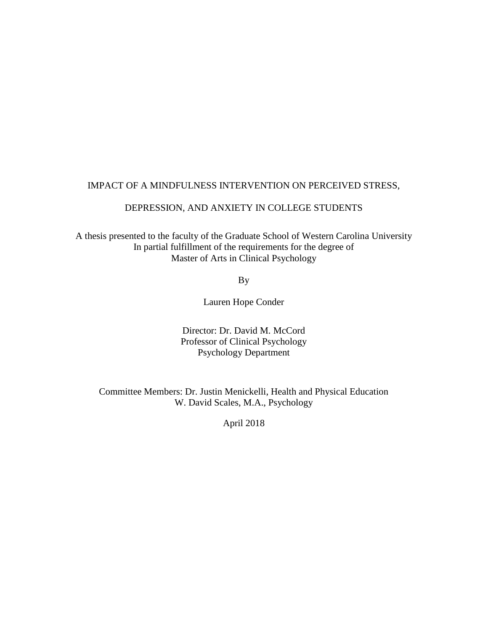## IMPACT OF A MINDFULNESS INTERVENTION ON PERCEIVED STRESS,

## DEPRESSION, AND ANXIETY IN COLLEGE STUDENTS

A thesis presented to the faculty of the Graduate School of Western Carolina University In partial fulfillment of the requirements for the degree of Master of Arts in Clinical Psychology

By

Lauren Hope Conder

Director: Dr. David M. McCord Professor of Clinical Psychology Psychology Department

Committee Members: Dr. Justin Menickelli, Health and Physical Education W. David Scales, M.A., Psychology

April 2018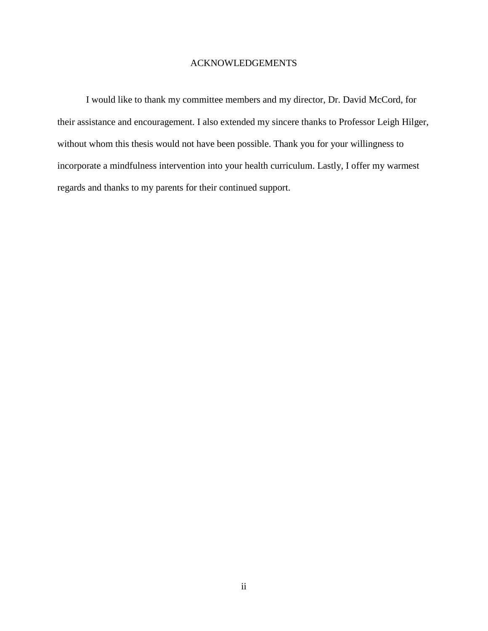### ACKNOWLEDGEMENTS

I would like to thank my committee members and my director, Dr. David McCord, for their assistance and encouragement. I also extended my sincere thanks to Professor Leigh Hilger, without whom this thesis would not have been possible. Thank you for your willingness to incorporate a mindfulness intervention into your health curriculum. Lastly, I offer my warmest regards and thanks to my parents for their continued support.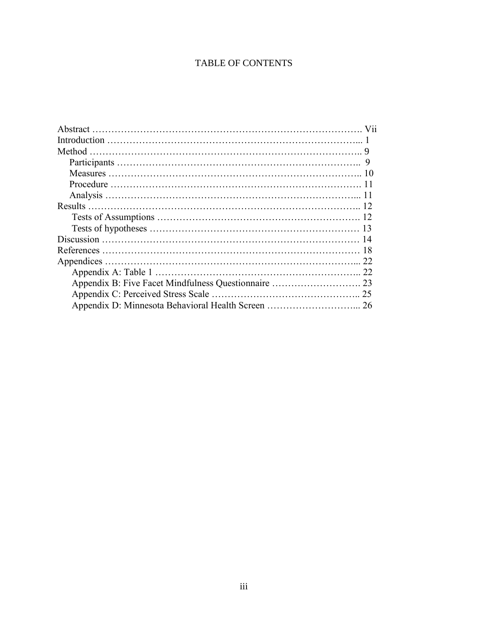# TABLE OF CONTENTS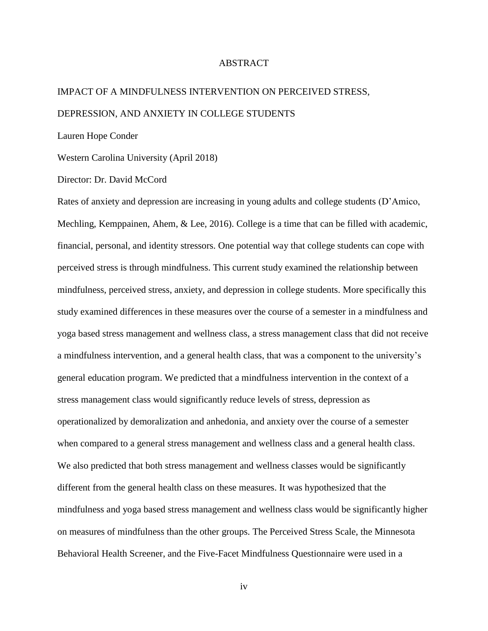#### ABSTRACT

# IMPACT OF A MINDFULNESS INTERVENTION ON PERCEIVED STRESS, DEPRESSION, AND ANXIETY IN COLLEGE STUDENTS

Lauren Hope Conder

Western Carolina University (April 2018)

Director: Dr. David McCord

Rates of anxiety and depression are increasing in young adults and college students (D'Amico, Mechling, Kemppainen, Ahem, & Lee, 2016). College is a time that can be filled with academic, financial, personal, and identity stressors. One potential way that college students can cope with perceived stress is through mindfulness. This current study examined the relationship between mindfulness, perceived stress, anxiety, and depression in college students. More specifically this study examined differences in these measures over the course of a semester in a mindfulness and yoga based stress management and wellness class, a stress management class that did not receive a mindfulness intervention, and a general health class, that was a component to the university's general education program. We predicted that a mindfulness intervention in the context of a stress management class would significantly reduce levels of stress, depression as operationalized by demoralization and anhedonia, and anxiety over the course of a semester when compared to a general stress management and wellness class and a general health class. We also predicted that both stress management and wellness classes would be significantly different from the general health class on these measures. It was hypothesized that the mindfulness and yoga based stress management and wellness class would be significantly higher on measures of mindfulness than the other groups. The Perceived Stress Scale, the Minnesota Behavioral Health Screener, and the Five-Facet Mindfulness Questionnaire were used in a

iv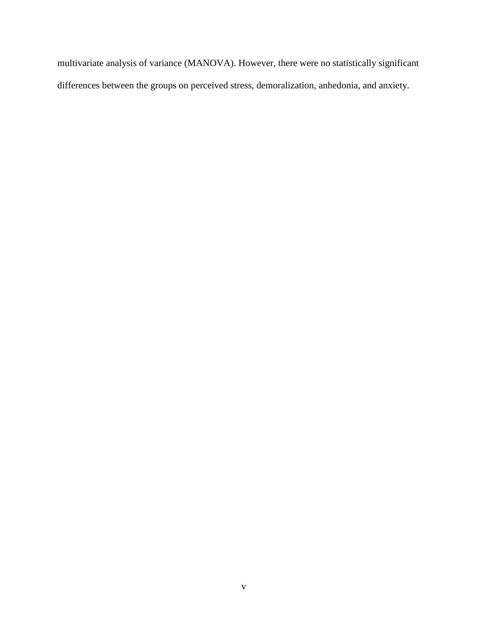multivariate analysis of variance (MANOVA). However, there were no statistically significant differences between the groups on perceived stress, demoralization, anhedonia, and anxiety.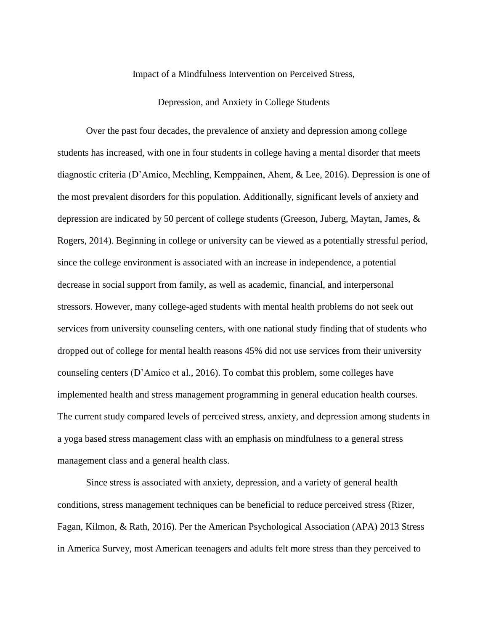Impact of a Mindfulness Intervention on Perceived Stress,

Depression, and Anxiety in College Students

Over the past four decades, the prevalence of anxiety and depression among college students has increased, with one in four students in college having a mental disorder that meets diagnostic criteria (D'Amico, Mechling, Kemppainen, Ahem, & Lee, 2016). Depression is one of the most prevalent disorders for this population. Additionally, significant levels of anxiety and depression are indicated by 50 percent of college students (Greeson, Juberg, Maytan, James, & Rogers, 2014). Beginning in college or university can be viewed as a potentially stressful period, since the college environment is associated with an increase in independence, a potential decrease in social support from family, as well as academic, financial, and interpersonal stressors. However, many college-aged students with mental health problems do not seek out services from university counseling centers, with one national study finding that of students who dropped out of college for mental health reasons 45% did not use services from their university counseling centers (D'Amico et al., 2016). To combat this problem, some colleges have implemented health and stress management programming in general education health courses. The current study compared levels of perceived stress, anxiety, and depression among students in a yoga based stress management class with an emphasis on mindfulness to a general stress management class and a general health class.

Since stress is associated with anxiety, depression, and a variety of general health conditions, stress management techniques can be beneficial to reduce perceived stress (Rizer, Fagan, Kilmon, & Rath, 2016). Per the American Psychological Association (APA) 2013 Stress in America Survey, most American teenagers and adults felt more stress than they perceived to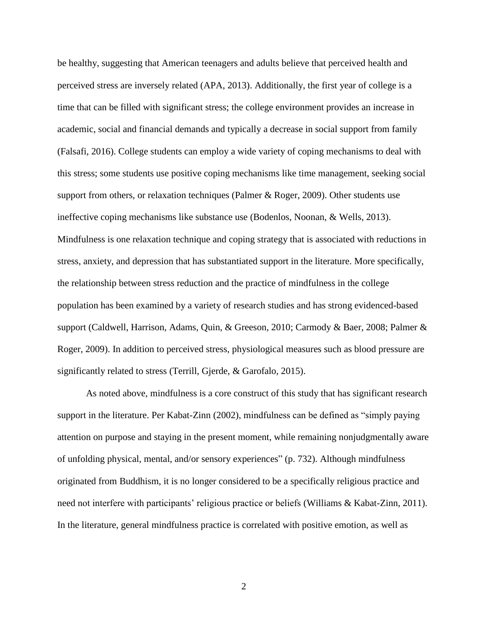be healthy, suggesting that American teenagers and adults believe that perceived health and perceived stress are inversely related (APA, 2013). Additionally, the first year of college is a time that can be filled with significant stress; the college environment provides an increase in academic, social and financial demands and typically a decrease in social support from family (Falsafi, 2016). College students can employ a wide variety of coping mechanisms to deal with this stress; some students use positive coping mechanisms like time management, seeking social support from others, or relaxation techniques (Palmer & Roger, 2009). Other students use ineffective coping mechanisms like substance use (Bodenlos, Noonan, & Wells, 2013). Mindfulness is one relaxation technique and coping strategy that is associated with reductions in stress, anxiety, and depression that has substantiated support in the literature. More specifically, the relationship between stress reduction and the practice of mindfulness in the college population has been examined by a variety of research studies and has strong evidenced-based support (Caldwell, Harrison, Adams, Quin, & Greeson, 2010; Carmody & Baer, 2008; Palmer & Roger, 2009). In addition to perceived stress, physiological measures such as blood pressure are significantly related to stress (Terrill, Gjerde, & Garofalo, 2015).

As noted above, mindfulness is a core construct of this study that has significant research support in the literature. Per Kabat-Zinn (2002), mindfulness can be defined as "simply paying attention on purpose and staying in the present moment, while remaining nonjudgmentally aware of unfolding physical, mental, and/or sensory experiences" (p. 732). Although mindfulness originated from Buddhism, it is no longer considered to be a specifically religious practice and need not interfere with participants' religious practice or beliefs (Williams & Kabat-Zinn, 2011). In the literature, general mindfulness practice is correlated with positive emotion, as well as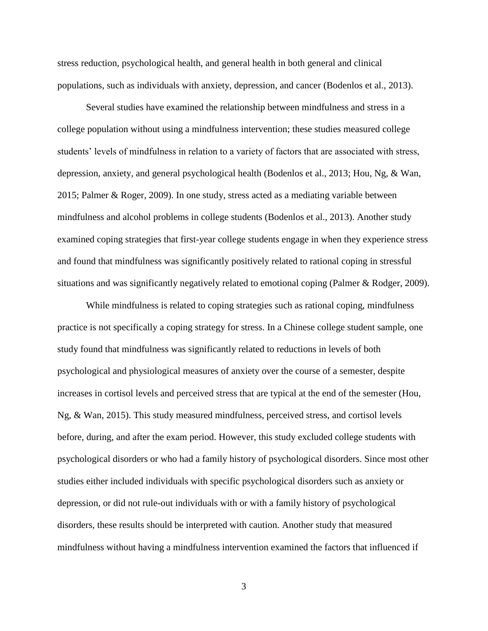stress reduction, psychological health, and general health in both general and clinical populations, such as individuals with anxiety, depression, and cancer (Bodenlos et al., 2013).

Several studies have examined the relationship between mindfulness and stress in a college population without using a mindfulness intervention; these studies measured college students' levels of mindfulness in relation to a variety of factors that are associated with stress, depression, anxiety, and general psychological health (Bodenlos et al., 2013; Hou, Ng, & Wan, 2015; Palmer & Roger, 2009). In one study, stress acted as a mediating variable between mindfulness and alcohol problems in college students (Bodenlos et al., 2013). Another study examined coping strategies that first-year college students engage in when they experience stress and found that mindfulness was significantly positively related to rational coping in stressful situations and was significantly negatively related to emotional coping (Palmer & Rodger, 2009).

While mindfulness is related to coping strategies such as rational coping, mindfulness practice is not specifically a coping strategy for stress. In a Chinese college student sample, one study found that mindfulness was significantly related to reductions in levels of both psychological and physiological measures of anxiety over the course of a semester, despite increases in cortisol levels and perceived stress that are typical at the end of the semester (Hou, Ng, & Wan, 2015). This study measured mindfulness, perceived stress, and cortisol levels before, during, and after the exam period. However, this study excluded college students with psychological disorders or who had a family history of psychological disorders. Since most other studies either included individuals with specific psychological disorders such as anxiety or depression, or did not rule-out individuals with or with a family history of psychological disorders, these results should be interpreted with caution. Another study that measured mindfulness without having a mindfulness intervention examined the factors that influenced if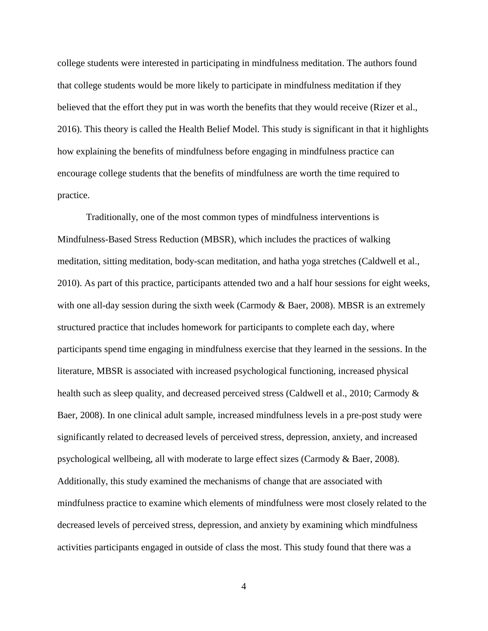college students were interested in participating in mindfulness meditation. The authors found that college students would be more likely to participate in mindfulness meditation if they believed that the effort they put in was worth the benefits that they would receive (Rizer et al., 2016). This theory is called the Health Belief Model. This study is significant in that it highlights how explaining the benefits of mindfulness before engaging in mindfulness practice can encourage college students that the benefits of mindfulness are worth the time required to practice.

Traditionally, one of the most common types of mindfulness interventions is Mindfulness-Based Stress Reduction (MBSR), which includes the practices of walking meditation, sitting meditation, body-scan meditation, and hatha yoga stretches (Caldwell et al., 2010). As part of this practice, participants attended two and a half hour sessions for eight weeks, with one all-day session during the sixth week (Carmody  $\&$  Baer, 2008). MBSR is an extremely structured practice that includes homework for participants to complete each day, where participants spend time engaging in mindfulness exercise that they learned in the sessions. In the literature, MBSR is associated with increased psychological functioning, increased physical health such as sleep quality, and decreased perceived stress (Caldwell et al., 2010; Carmody & Baer, 2008). In one clinical adult sample, increased mindfulness levels in a pre-post study were significantly related to decreased levels of perceived stress, depression, anxiety, and increased psychological wellbeing, all with moderate to large effect sizes (Carmody & Baer, 2008). Additionally, this study examined the mechanisms of change that are associated with mindfulness practice to examine which elements of mindfulness were most closely related to the decreased levels of perceived stress, depression, and anxiety by examining which mindfulness activities participants engaged in outside of class the most. This study found that there was a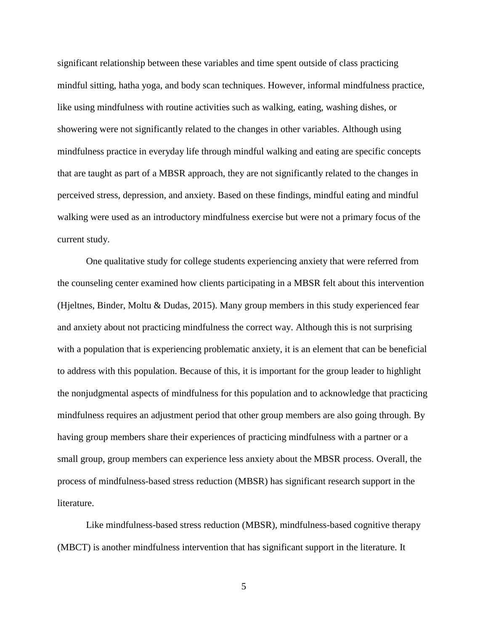significant relationship between these variables and time spent outside of class practicing mindful sitting, hatha yoga, and body scan techniques. However, informal mindfulness practice, like using mindfulness with routine activities such as walking, eating, washing dishes, or showering were not significantly related to the changes in other variables. Although using mindfulness practice in everyday life through mindful walking and eating are specific concepts that are taught as part of a MBSR approach, they are not significantly related to the changes in perceived stress, depression, and anxiety. Based on these findings, mindful eating and mindful walking were used as an introductory mindfulness exercise but were not a primary focus of the current study.

One qualitative study for college students experiencing anxiety that were referred from the counseling center examined how clients participating in a MBSR felt about this intervention (Hjeltnes, Binder, Moltu & Dudas, 2015). Many group members in this study experienced fear and anxiety about not practicing mindfulness the correct way. Although this is not surprising with a population that is experiencing problematic anxiety, it is an element that can be beneficial to address with this population. Because of this, it is important for the group leader to highlight the nonjudgmental aspects of mindfulness for this population and to acknowledge that practicing mindfulness requires an adjustment period that other group members are also going through. By having group members share their experiences of practicing mindfulness with a partner or a small group, group members can experience less anxiety about the MBSR process. Overall, the process of mindfulness-based stress reduction (MBSR) has significant research support in the literature.

Like mindfulness-based stress reduction (MBSR), mindfulness-based cognitive therapy (MBCT) is another mindfulness intervention that has significant support in the literature. It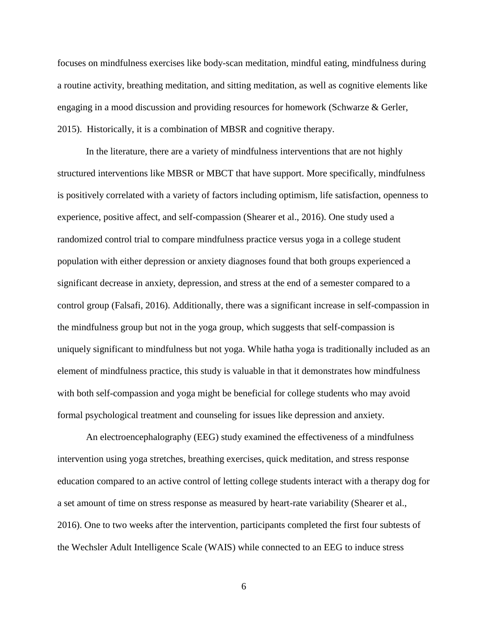focuses on mindfulness exercises like body-scan meditation, mindful eating, mindfulness during a routine activity, breathing meditation, and sitting meditation, as well as cognitive elements like engaging in a mood discussion and providing resources for homework (Schwarze & Gerler, 2015). Historically, it is a combination of MBSR and cognitive therapy.

In the literature, there are a variety of mindfulness interventions that are not highly structured interventions like MBSR or MBCT that have support. More specifically, mindfulness is positively correlated with a variety of factors including optimism, life satisfaction, openness to experience, positive affect, and self-compassion (Shearer et al., 2016). One study used a randomized control trial to compare mindfulness practice versus yoga in a college student population with either depression or anxiety diagnoses found that both groups experienced a significant decrease in anxiety, depression, and stress at the end of a semester compared to a control group (Falsafi, 2016). Additionally, there was a significant increase in self-compassion in the mindfulness group but not in the yoga group, which suggests that self-compassion is uniquely significant to mindfulness but not yoga. While hatha yoga is traditionally included as an element of mindfulness practice, this study is valuable in that it demonstrates how mindfulness with both self-compassion and yoga might be beneficial for college students who may avoid formal psychological treatment and counseling for issues like depression and anxiety.

An electroencephalography (EEG) study examined the effectiveness of a mindfulness intervention using yoga stretches, breathing exercises, quick meditation, and stress response education compared to an active control of letting college students interact with a therapy dog for a set amount of time on stress response as measured by heart-rate variability (Shearer et al., 2016). One to two weeks after the intervention, participants completed the first four subtests of the Wechsler Adult Intelligence Scale (WAIS) while connected to an EEG to induce stress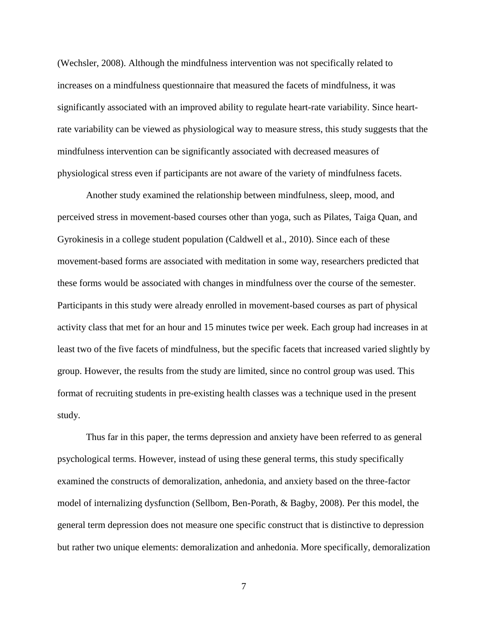(Wechsler, 2008). Although the mindfulness intervention was not specifically related to increases on a mindfulness questionnaire that measured the facets of mindfulness, it was significantly associated with an improved ability to regulate heart-rate variability. Since heartrate variability can be viewed as physiological way to measure stress, this study suggests that the mindfulness intervention can be significantly associated with decreased measures of physiological stress even if participants are not aware of the variety of mindfulness facets.

Another study examined the relationship between mindfulness, sleep, mood, and perceived stress in movement-based courses other than yoga, such as Pilates, Taiga Quan, and Gyrokinesis in a college student population (Caldwell et al., 2010). Since each of these movement-based forms are associated with meditation in some way, researchers predicted that these forms would be associated with changes in mindfulness over the course of the semester. Participants in this study were already enrolled in movement-based courses as part of physical activity class that met for an hour and 15 minutes twice per week. Each group had increases in at least two of the five facets of mindfulness, but the specific facets that increased varied slightly by group. However, the results from the study are limited, since no control group was used. This format of recruiting students in pre-existing health classes was a technique used in the present study.

Thus far in this paper, the terms depression and anxiety have been referred to as general psychological terms. However, instead of using these general terms, this study specifically examined the constructs of demoralization, anhedonia, and anxiety based on the three-factor model of internalizing dysfunction (Sellbom, Ben-Porath, & Bagby, 2008). Per this model, the general term depression does not measure one specific construct that is distinctive to depression but rather two unique elements: demoralization and anhedonia. More specifically, demoralization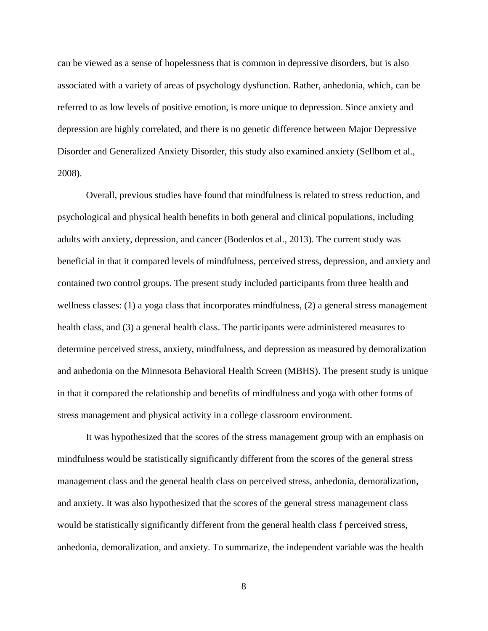can be viewed as a sense of hopelessness that is common in depressive disorders, but is also associated with a variety of areas of psychology dysfunction. Rather, anhedonia, which, can be referred to as low levels of positive emotion, is more unique to depression. Since anxiety and depression are highly correlated, and there is no genetic difference between Major Depressive Disorder and Generalized Anxiety Disorder, this study also examined anxiety (Sellbom et al., 2008).

Overall, previous studies have found that mindfulness is related to stress reduction, and psychological and physical health benefits in both general and clinical populations, including adults with anxiety, depression, and cancer (Bodenlos et al., 2013). The current study was beneficial in that it compared levels of mindfulness, perceived stress, depression, and anxiety and contained two control groups. The present study included participants from three health and wellness classes: (1) a yoga class that incorporates mindfulness, (2) a general stress management health class, and (3) a general health class. The participants were administered measures to determine perceived stress, anxiety, mindfulness, and depression as measured by demoralization and anhedonia on the Minnesota Behavioral Health Screen (MBHS). The present study is unique in that it compared the relationship and benefits of mindfulness and yoga with other forms of stress management and physical activity in a college classroom environment.

It was hypothesized that the scores of the stress management group with an emphasis on mindfulness would be statistically significantly different from the scores of the general stress management class and the general health class on perceived stress, anhedonia, demoralization, and anxiety. It was also hypothesized that the scores of the general stress management class would be statistically significantly different from the general health class f perceived stress, anhedonia, demoralization, and anxiety. To summarize, the independent variable was the health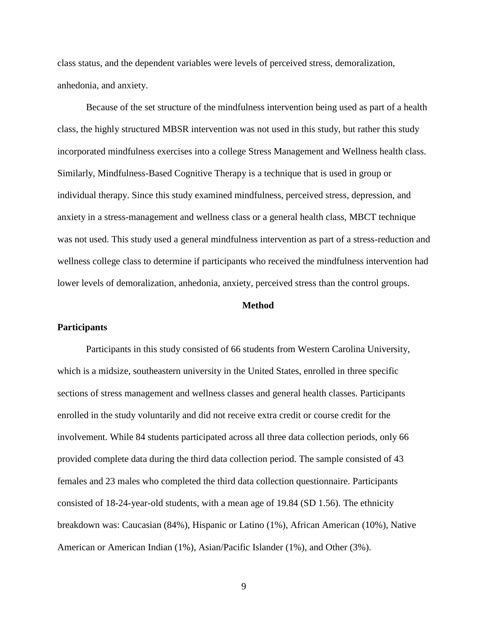class status, and the dependent variables were levels of perceived stress, demoralization, anhedonia, and anxiety.

Because of the set structure of the mindfulness intervention being used as part of a health class, the highly structured MBSR intervention was not used in this study, but rather this study incorporated mindfulness exercises into a college Stress Management and Wellness health class. Similarly, Mindfulness-Based Cognitive Therapy is a technique that is used in group or individual therapy. Since this study examined mindfulness, perceived stress, depression, and anxiety in a stress-management and wellness class or a general health class, MBCT technique was not used. This study used a general mindfulness intervention as part of a stress-reduction and wellness college class to determine if participants who received the mindfulness intervention had lower levels of demoralization, anhedonia, anxiety, perceived stress than the control groups.

#### **Method**

#### **Participants**

Participants in this study consisted of 66 students from Western Carolina University, which is a midsize, southeastern university in the United States, enrolled in three specific sections of stress management and wellness classes and general health classes. Participants enrolled in the study voluntarily and did not receive extra credit or course credit for the involvement. While 84 students participated across all three data collection periods, only 66 provided complete data during the third data collection period. The sample consisted of 43 females and 23 males who completed the third data collection questionnaire. Participants consisted of 18-24-year-old students, with a mean age of 19.84 (SD 1.56). The ethnicity breakdown was: Caucasian (84%), Hispanic or Latino (1%), African American (10%), Native American or American Indian (1%), Asian/Pacific Islander (1%), and Other (3%).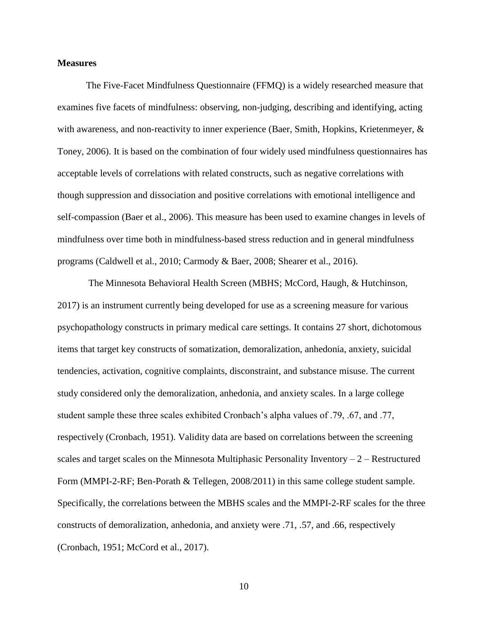#### **Measures**

The Five-Facet Mindfulness Questionnaire (FFMQ) is a widely researched measure that examines five facets of mindfulness: observing, non-judging, describing and identifying, acting with awareness, and non-reactivity to inner experience (Baer, Smith, Hopkins, Krietenmeyer, & Toney, 2006). It is based on the combination of four widely used mindfulness questionnaires has acceptable levels of correlations with related constructs, such as negative correlations with though suppression and dissociation and positive correlations with emotional intelligence and self-compassion (Baer et al., 2006). This measure has been used to examine changes in levels of mindfulness over time both in mindfulness-based stress reduction and in general mindfulness programs (Caldwell et al., 2010; Carmody & Baer, 2008; Shearer et al., 2016).

The Minnesota Behavioral Health Screen (MBHS; McCord, Haugh, & Hutchinson, 2017) is an instrument currently being developed for use as a screening measure for various psychopathology constructs in primary medical care settings. It contains 27 short, dichotomous items that target key constructs of somatization, demoralization, anhedonia, anxiety, suicidal tendencies, activation, cognitive complaints, disconstraint, and substance misuse. The current study considered only the demoralization, anhedonia, and anxiety scales. In a large college student sample these three scales exhibited Cronbach's alpha values of .79, .67, and .77, respectively (Cronbach, 1951). Validity data are based on correlations between the screening scales and target scales on the Minnesota Multiphasic Personality Inventory  $-2$  – Restructured Form (MMPI-2-RF; Ben-Porath & Tellegen, 2008/2011) in this same college student sample. Specifically, the correlations between the MBHS scales and the MMPI-2-RF scales for the three constructs of demoralization, anhedonia, and anxiety were .71, .57, and .66, respectively (Cronbach, 1951; McCord et al., 2017).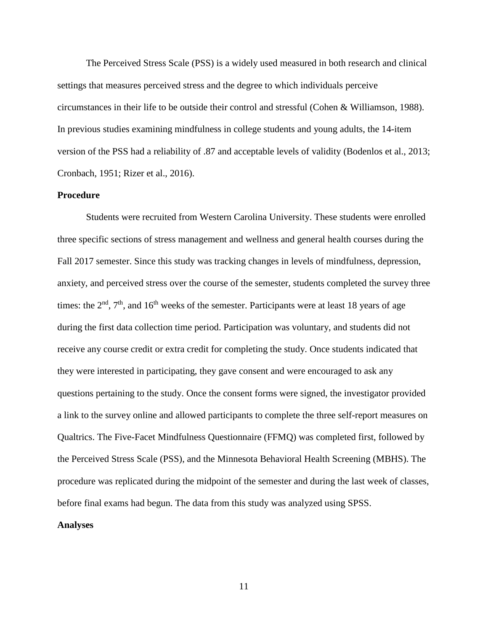The Perceived Stress Scale (PSS) is a widely used measured in both research and clinical settings that measures perceived stress and the degree to which individuals perceive circumstances in their life to be outside their control and stressful (Cohen & Williamson, 1988). In previous studies examining mindfulness in college students and young adults, the 14-item version of the PSS had a reliability of .87 and acceptable levels of validity (Bodenlos et al., 2013; Cronbach, 1951; Rizer et al., 2016).

## **Procedure**

Students were recruited from Western Carolina University. These students were enrolled three specific sections of stress management and wellness and general health courses during the Fall 2017 semester. Since this study was tracking changes in levels of mindfulness, depression, anxiety, and perceived stress over the course of the semester, students completed the survey three times: the  $2<sup>nd</sup>$ ,  $7<sup>th</sup>$ , and  $16<sup>th</sup>$  weeks of the semester. Participants were at least 18 years of age during the first data collection time period. Participation was voluntary, and students did not receive any course credit or extra credit for completing the study. Once students indicated that they were interested in participating, they gave consent and were encouraged to ask any questions pertaining to the study. Once the consent forms were signed, the investigator provided a link to the survey online and allowed participants to complete the three self-report measures on Qualtrics. The Five-Facet Mindfulness Questionnaire (FFMQ) was completed first, followed by the Perceived Stress Scale (PSS), and the Minnesota Behavioral Health Screening (MBHS). The procedure was replicated during the midpoint of the semester and during the last week of classes, before final exams had begun. The data from this study was analyzed using SPSS.

#### **Analyses**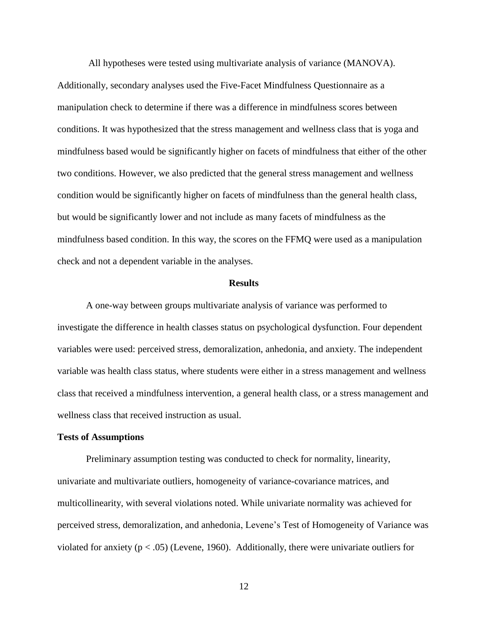All hypotheses were tested using multivariate analysis of variance (MANOVA). Additionally, secondary analyses used the Five-Facet Mindfulness Questionnaire as a manipulation check to determine if there was a difference in mindfulness scores between conditions. It was hypothesized that the stress management and wellness class that is yoga and mindfulness based would be significantly higher on facets of mindfulness that either of the other two conditions. However, we also predicted that the general stress management and wellness condition would be significantly higher on facets of mindfulness than the general health class, but would be significantly lower and not include as many facets of mindfulness as the mindfulness based condition. In this way, the scores on the FFMQ were used as a manipulation check and not a dependent variable in the analyses.

#### **Results**

A one-way between groups multivariate analysis of variance was performed to investigate the difference in health classes status on psychological dysfunction. Four dependent variables were used: perceived stress, demoralization, anhedonia, and anxiety. The independent variable was health class status, where students were either in a stress management and wellness class that received a mindfulness intervention, a general health class, or a stress management and wellness class that received instruction as usual.

#### **Tests of Assumptions**

Preliminary assumption testing was conducted to check for normality, linearity, univariate and multivariate outliers, homogeneity of variance-covariance matrices, and multicollinearity, with several violations noted. While univariate normality was achieved for perceived stress, demoralization, and anhedonia, Levene's Test of Homogeneity of Variance was violated for anxiety ( $p < .05$ ) (Levene, 1960). Additionally, there were univariate outliers for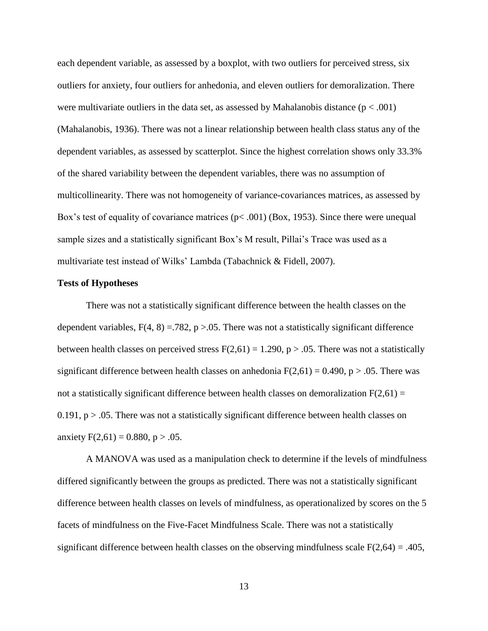each dependent variable, as assessed by a boxplot, with two outliers for perceived stress, six outliers for anxiety, four outliers for anhedonia, and eleven outliers for demoralization. There were multivariate outliers in the data set, as assessed by Mahalanobis distance ( $p < .001$ ) (Mahalanobis, 1936). There was not a linear relationship between health class status any of the dependent variables, as assessed by scatterplot. Since the highest correlation shows only 33.3% of the shared variability between the dependent variables, there was no assumption of multicollinearity. There was not homogeneity of variance-covariances matrices, as assessed by Box's test of equality of covariance matrices ( $p < .001$ ) (Box, 1953). Since there were unequal sample sizes and a statistically significant Box's M result, Pillai's Trace was used as a multivariate test instead of Wilks' Lambda (Tabachnick & Fidell, 2007).

#### **Tests of Hypotheses**

There was not a statistically significant difference between the health classes on the dependent variables,  $F(4, 8) = 782$ , p > 0.05. There was not a statistically significant difference between health classes on perceived stress  $F(2,61) = 1.290$ ,  $p > .05$ . There was not a statistically significant difference between health classes on anhedonia  $F(2,61) = 0.490$ , p > .05. There was not a statistically significant difference between health classes on demoralization  $F(2,61) =$  $0.191$ , p  $> 0.05$ . There was not a statistically significant difference between health classes on anxiety  $F(2,61) = 0.880$ , p > .05.

A MANOVA was used as a manipulation check to determine if the levels of mindfulness differed significantly between the groups as predicted. There was not a statistically significant difference between health classes on levels of mindfulness, as operationalized by scores on the 5 facets of mindfulness on the Five-Facet Mindfulness Scale. There was not a statistically significant difference between health classes on the observing mindfulness scale  $F(2,64) = .405$ ,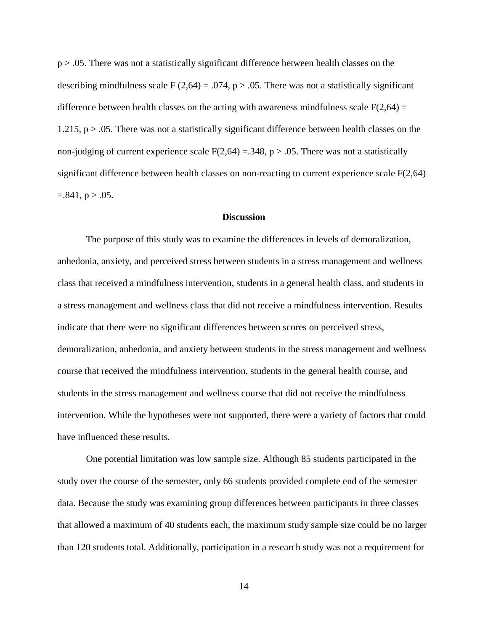p > .05. There was not a statistically significant difference between health classes on the describing mindfulness scale F (2,64) = .074, p > .05. There was not a statistically significant difference between health classes on the acting with awareness mindfulness scale  $F(2,64) =$  $1.215$ ,  $p > .05$ . There was not a statistically significant difference between health classes on the non-judging of current experience scale  $F(2,64) = .348$ , p > .05. There was not a statistically significant difference between health classes on non-reacting to current experience scale F(2,64)  $=.841, p > .05.$ 

#### **Discussion**

The purpose of this study was to examine the differences in levels of demoralization, anhedonia, anxiety, and perceived stress between students in a stress management and wellness class that received a mindfulness intervention, students in a general health class, and students in a stress management and wellness class that did not receive a mindfulness intervention. Results indicate that there were no significant differences between scores on perceived stress, demoralization, anhedonia, and anxiety between students in the stress management and wellness course that received the mindfulness intervention, students in the general health course, and students in the stress management and wellness course that did not receive the mindfulness intervention. While the hypotheses were not supported, there were a variety of factors that could have influenced these results.

One potential limitation was low sample size. Although 85 students participated in the study over the course of the semester, only 66 students provided complete end of the semester data. Because the study was examining group differences between participants in three classes that allowed a maximum of 40 students each, the maximum study sample size could be no larger than 120 students total. Additionally, participation in a research study was not a requirement for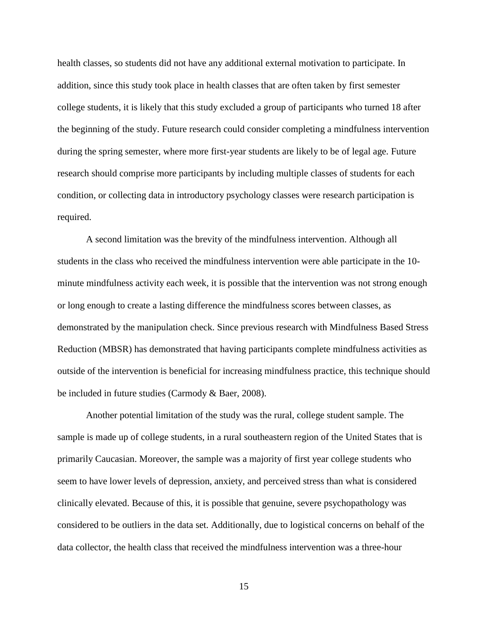health classes, so students did not have any additional external motivation to participate. In addition, since this study took place in health classes that are often taken by first semester college students, it is likely that this study excluded a group of participants who turned 18 after the beginning of the study. Future research could consider completing a mindfulness intervention during the spring semester, where more first-year students are likely to be of legal age. Future research should comprise more participants by including multiple classes of students for each condition, or collecting data in introductory psychology classes were research participation is required.

A second limitation was the brevity of the mindfulness intervention. Although all students in the class who received the mindfulness intervention were able participate in the 10 minute mindfulness activity each week, it is possible that the intervention was not strong enough or long enough to create a lasting difference the mindfulness scores between classes, as demonstrated by the manipulation check. Since previous research with Mindfulness Based Stress Reduction (MBSR) has demonstrated that having participants complete mindfulness activities as outside of the intervention is beneficial for increasing mindfulness practice, this technique should be included in future studies (Carmody & Baer, 2008).

Another potential limitation of the study was the rural, college student sample. The sample is made up of college students, in a rural southeastern region of the United States that is primarily Caucasian. Moreover, the sample was a majority of first year college students who seem to have lower levels of depression, anxiety, and perceived stress than what is considered clinically elevated. Because of this, it is possible that genuine, severe psychopathology was considered to be outliers in the data set. Additionally, due to logistical concerns on behalf of the data collector, the health class that received the mindfulness intervention was a three-hour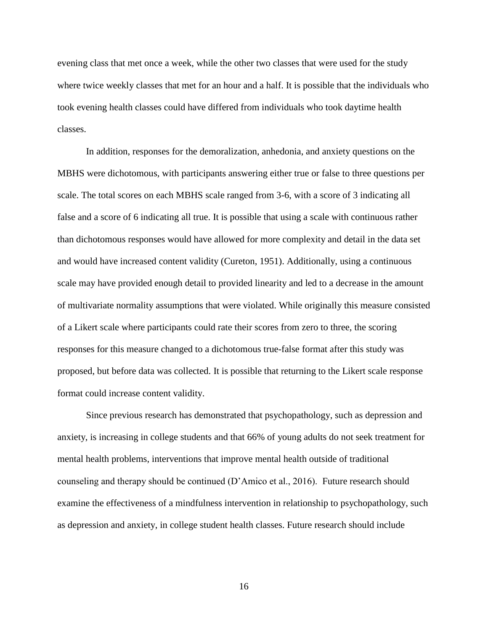evening class that met once a week, while the other two classes that were used for the study where twice weekly classes that met for an hour and a half. It is possible that the individuals who took evening health classes could have differed from individuals who took daytime health classes.

In addition, responses for the demoralization, anhedonia, and anxiety questions on the MBHS were dichotomous, with participants answering either true or false to three questions per scale. The total scores on each MBHS scale ranged from 3-6, with a score of 3 indicating all false and a score of 6 indicating all true. It is possible that using a scale with continuous rather than dichotomous responses would have allowed for more complexity and detail in the data set and would have increased content validity (Cureton, 1951). Additionally, using a continuous scale may have provided enough detail to provided linearity and led to a decrease in the amount of multivariate normality assumptions that were violated. While originally this measure consisted of a Likert scale where participants could rate their scores from zero to three, the scoring responses for this measure changed to a dichotomous true-false format after this study was proposed, but before data was collected. It is possible that returning to the Likert scale response format could increase content validity.

Since previous research has demonstrated that psychopathology, such as depression and anxiety, is increasing in college students and that 66% of young adults do not seek treatment for mental health problems, interventions that improve mental health outside of traditional counseling and therapy should be continued (D'Amico et al., 2016). Future research should examine the effectiveness of a mindfulness intervention in relationship to psychopathology, such as depression and anxiety, in college student health classes. Future research should include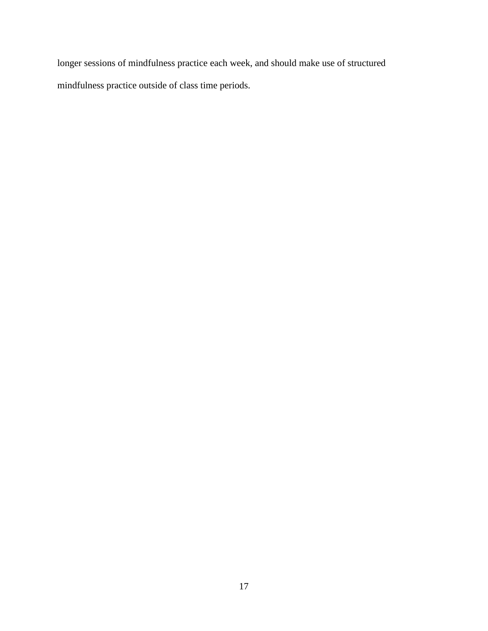longer sessions of mindfulness practice each week, and should make use of structured mindfulness practice outside of class time periods.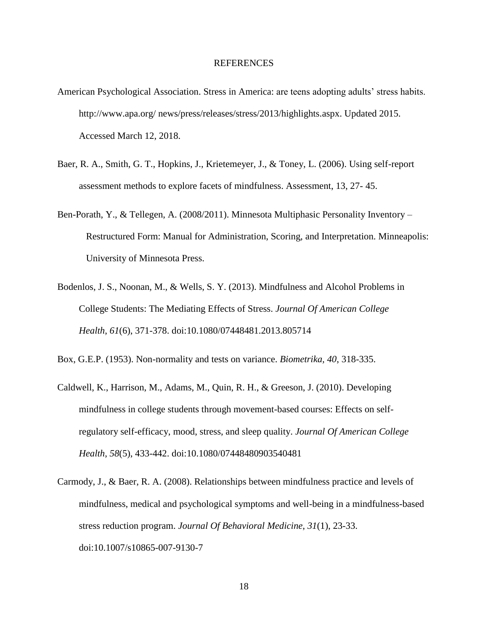#### REFERENCES

- American Psychological Association. Stress in America: are teens adopting adults' stress habits. http://www.apa.org/ news/press/releases/stress/2013/highlights.aspx. Updated 2015. Accessed March 12, 2018.
- Baer, R. A., Smith, G. T., Hopkins, J., Krietemeyer, J., & Toney, L. (2006). Using self-report assessment methods to explore facets of mindfulness. Assessment, 13, 27- 45.
- Ben-Porath, Y., & Tellegen, A. (2008/2011). Minnesota Multiphasic Personality Inventory Restructured Form: Manual for Administration, Scoring, and Interpretation. Minneapolis: University of Minnesota Press.
- Bodenlos, J. S., Noonan, M., & Wells, S. Y. (2013). Mindfulness and Alcohol Problems in College Students: The Mediating Effects of Stress. *Journal Of American College Health*, *61*(6), 371-378. doi:10.1080/07448481.2013.805714

Box, G.E.P. (1953). Non-normality and tests on variance. *Biometrika, 40*, 318-335.

- Caldwell, K., Harrison, M., Adams, M., Quin, R. H., & Greeson, J. (2010). Developing mindfulness in college students through movement-based courses: Effects on selfregulatory self-efficacy, mood, stress, and sleep quality. *Journal Of American College Health*, *58*(5), 433-442. doi:10.1080/07448480903540481
- Carmody, J., & Baer, R. A. (2008). Relationships between mindfulness practice and levels of mindfulness, medical and psychological symptoms and well-being in a mindfulness-based stress reduction program. *Journal Of Behavioral Medicine*, *31*(1), 23-33. doi:10.1007/s10865-007-9130-7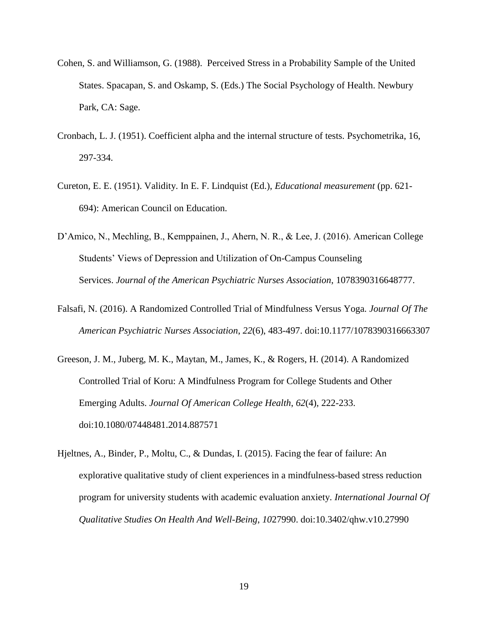- Cohen, S. and Williamson, G. (1988). Perceived Stress in a Probability Sample of the United States. Spacapan, S. and Oskamp, S. (Eds.) The Social Psychology of Health. Newbury Park, CA: Sage.
- Cronbach, L. J. (1951). Coefficient alpha and the internal structure of tests. Psychometrika, 16, 297-334.
- Cureton, E. E. (1951). Validity. In E. F. Lindquist (Ed.), *Educational measurement* (pp. 621- 694): American Council on Education.
- D'Amico, N., Mechling, B., Kemppainen, J., Ahern, N. R., & Lee, J. (2016). American College Students' Views of Depression and Utilization of On-Campus Counseling Services. *Journal of the American Psychiatric Nurses Association*, 1078390316648777.
- Falsafi, N. (2016). A Randomized Controlled Trial of Mindfulness Versus Yoga. *Journal Of The American Psychiatric Nurses Association*, *22*(6), 483-497. doi:10.1177/1078390316663307
- Greeson, J. M., Juberg, M. K., Maytan, M., James, K., & Rogers, H. (2014). A Randomized Controlled Trial of Koru: A Mindfulness Program for College Students and Other Emerging Adults. *Journal Of American College Health*, *62*(4), 222-233. doi:10.1080/07448481.2014.887571
- Hjeltnes, A., Binder, P., Moltu, C., & Dundas, I. (2015). Facing the fear of failure: An explorative qualitative study of client experiences in a mindfulness-based stress reduction program for university students with academic evaluation anxiety. *International Journal Of Qualitative Studies On Health And Well-Being*, *10*27990. doi:10.3402/qhw.v10.27990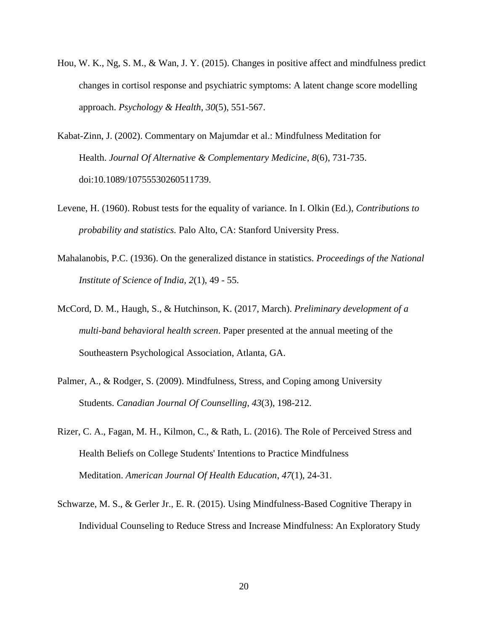- Hou, W. K., Ng, S. M., & Wan, J. Y. (2015). Changes in positive affect and mindfulness predict changes in cortisol response and psychiatric symptoms: A latent change score modelling approach. *Psychology & Health*, *30*(5), 551-567.
- Kabat-Zinn, J. (2002). Commentary on Majumdar et al.: Mindfulness Meditation for Health. *Journal Of Alternative & Complementary Medicine*, *8*(6), 731-735. doi:10.1089/10755530260511739.
- Levene, H. (1960). Robust tests for the equality of variance. In I. Olkin (Ed.), *Contributions to probability and statistics.* Palo Alto, CA: Stanford University Press.
- Mahalanobis, P.C. (1936). On the generalized distance in statistics. *Proceedings of the National Institute of Science of India, 2*(1), 49 - 55.
- McCord, D. M., Haugh, S., & Hutchinson, K. (2017, March). *Preliminary development of a multi-band behavioral health screen*. Paper presented at the annual meeting of the Southeastern Psychological Association, Atlanta, GA.
- Palmer, A., & Rodger, S. (2009). Mindfulness, Stress, and Coping among University Students. *Canadian Journal Of Counselling*, *43*(3), 198-212.
- Rizer, C. A., Fagan, M. H., Kilmon, C., & Rath, L. (2016). The Role of Perceived Stress and Health Beliefs on College Students' Intentions to Practice Mindfulness Meditation. *American Journal Of Health Education*, *47*(1), 24-31.
- Schwarze, M. S., & Gerler Jr., E. R. (2015). Using Mindfulness-Based Cognitive Therapy in Individual Counseling to Reduce Stress and Increase Mindfulness: An Exploratory Study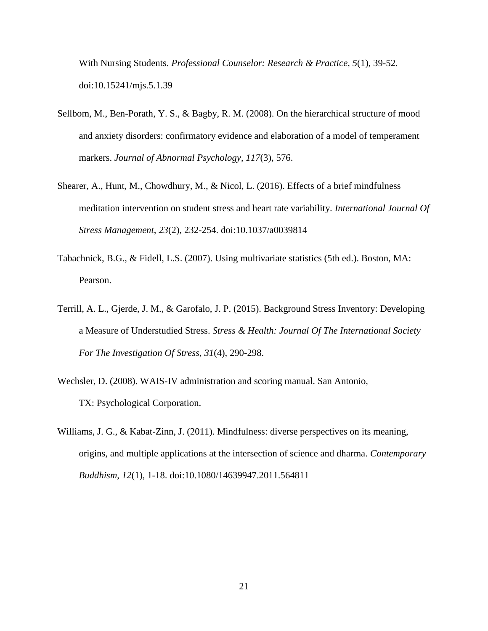With Nursing Students. *Professional Counselor: Research & Practice*, *5*(1), 39-52. doi:10.15241/mjs.5.1.39

- Sellbom, M., Ben-Porath, Y. S., & Bagby, R. M. (2008). On the hierarchical structure of mood and anxiety disorders: confirmatory evidence and elaboration of a model of temperament markers. *Journal of Abnormal Psychology*, *117*(3), 576.
- Shearer, A., Hunt, M., Chowdhury, M., & Nicol, L. (2016). Effects of a brief mindfulness meditation intervention on student stress and heart rate variability. *International Journal Of Stress Management*, *23*(2), 232-254. doi:10.1037/a0039814
- Tabachnick, B.G., & Fidell, L.S. (2007). Using multivariate statistics (5th ed.). Boston, MA: Pearson.
- Terrill, A. L., Gjerde, J. M., & Garofalo, J. P. (2015). Background Stress Inventory: Developing a Measure of Understudied Stress. *Stress & Health: Journal Of The International Society For The Investigation Of Stress*, *31*(4), 290-298.
- Wechsler, D. (2008). WAIS-IV administration and scoring manual. San Antonio, TX: Psychological Corporation.
- Williams, J. G., & Kabat-Zinn, J. (2011). Mindfulness: diverse perspectives on its meaning, origins, and multiple applications at the intersection of science and dharma. *Contemporary Buddhism*, *12*(1), 1-18. doi:10.1080/14639947.2011.564811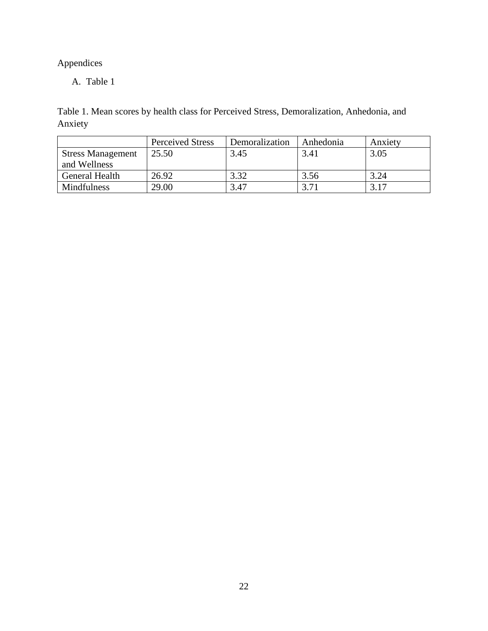# Appendices

A. Table 1

Table 1. Mean scores by health class for Perceived Stress, Demoralization, Anhedonia, and Anxiety

|                          | <b>Perceived Stress</b> | Demoralization | Anhedonia | Anxiety |
|--------------------------|-------------------------|----------------|-----------|---------|
| <b>Stress Management</b> | 25.50                   | 3.45           | 3.41      | 3.05    |
| and Wellness             |                         |                |           |         |
| General Health           | 26.92                   | 3.32           | 3.56      | 3.24    |
| Mindfulness              | 29.00                   | 3.47           | 3.71      | 3.17    |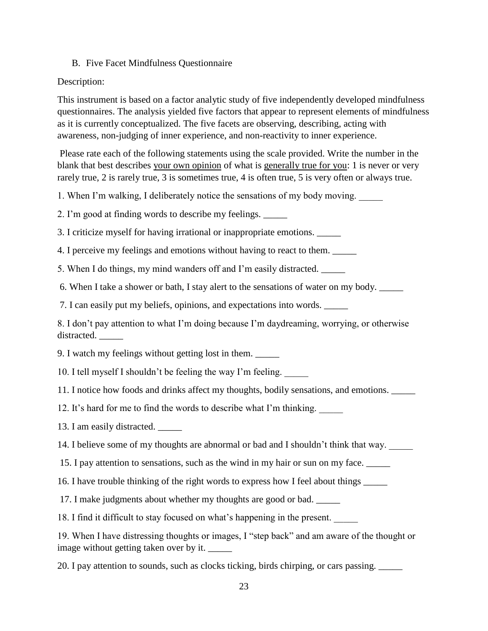## B. Five Facet Mindfulness Questionnaire

## Description:

This instrument is based on a factor analytic study of five independently developed mindfulness questionnaires. The analysis yielded five factors that appear to represent elements of mindfulness as it is currently conceptualized. The five facets are observing, describing, acting with awareness, non-judging of inner experience, and non-reactivity to inner experience.

Please rate each of the following statements using the scale provided. Write the number in the blank that best describes your own opinion of what is generally true for you: 1 is never or very rarely true, 2 is rarely true, 3 is sometimes true, 4 is often true, 5 is very often or always true.

1. When I'm walking, I deliberately notice the sensations of my body moving.

2. I'm good at finding words to describe my feelings. \_\_\_\_\_

3. I criticize myself for having irrational or inappropriate emotions. \_\_\_\_\_

4. I perceive my feelings and emotions without having to react to them. \_\_\_\_\_

5. When I do things, my mind wanders off and I'm easily distracted.

6. When I take a shower or bath, I stay alert to the sensations of water on my body. \_\_\_\_\_

7. I can easily put my beliefs, opinions, and expectations into words. \_\_\_\_\_

8. I don't pay attention to what I'm doing because I'm daydreaming, worrying, or otherwise distracted.

9. I watch my feelings without getting lost in them. \_\_\_\_\_

10. I tell myself I shouldn't be feeling the way I'm feeling. \_\_\_\_\_

11. I notice how foods and drinks affect my thoughts, bodily sensations, and emotions. \_\_\_\_\_

12. It's hard for me to find the words to describe what I'm thinking.

13. I am easily distracted.

14. I believe some of my thoughts are abnormal or bad and I shouldn't think that way.

15. I pay attention to sensations, such as the wind in my hair or sun on my face. \_\_\_\_\_

16. I have trouble thinking of the right words to express how I feel about things \_\_\_\_\_

17. I make judgments about whether my thoughts are good or bad. \_\_\_\_\_

18. I find it difficult to stay focused on what's happening in the present.

19. When I have distressing thoughts or images, I "step back" and am aware of the thought or image without getting taken over by it.

20. I pay attention to sounds, such as clocks ticking, birds chirping, or cars passing. \_\_\_\_\_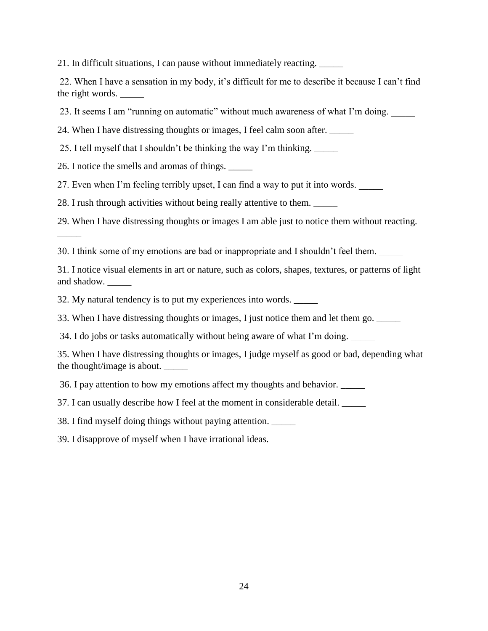21. In difficult situations, I can pause without immediately reacting. \_\_\_\_\_

22. When I have a sensation in my body, it's difficult for me to describe it because I can't find the right words.

23. It seems I am "running on automatic" without much awareness of what I'm doing.

24. When I have distressing thoughts or images, I feel calm soon after. \_\_\_\_\_

25. I tell myself that I shouldn't be thinking the way I'm thinking. \_\_\_\_\_

26. I notice the smells and aromas of things. \_\_\_\_\_

 $\overline{\phantom{a}}$ 

27. Even when I'm feeling terribly upset, I can find a way to put it into words.

28. I rush through activities without being really attentive to them.

29. When I have distressing thoughts or images I am able just to notice them without reacting.

30. I think some of my emotions are bad or inappropriate and I shouldn't feel them.

31. I notice visual elements in art or nature, such as colors, shapes, textures, or patterns of light and shadow.

32. My natural tendency is to put my experiences into words. \_\_\_\_\_

33. When I have distressing thoughts or images, I just notice them and let them go. \_\_\_\_\_

34. I do jobs or tasks automatically without being aware of what I'm doing.

35. When I have distressing thoughts or images, I judge myself as good or bad, depending what the thought/image is about. \_\_\_\_\_

36. I pay attention to how my emotions affect my thoughts and behavior. \_\_\_\_\_

37. I can usually describe how I feel at the moment in considerable detail. \_\_\_\_\_

38. I find myself doing things without paying attention.

39. I disapprove of myself when I have irrational ideas.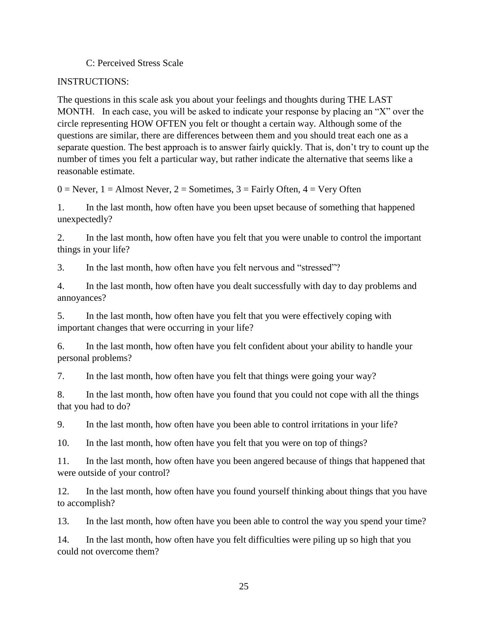## C: Perceived Stress Scale

## INSTRUCTIONS:

The questions in this scale ask you about your feelings and thoughts during THE LAST MONTH. In each case, you will be asked to indicate your response by placing an "X" over the circle representing HOW OFTEN you felt or thought a certain way. Although some of the questions are similar, there are differences between them and you should treat each one as a separate question. The best approach is to answer fairly quickly. That is, don't try to count up the number of times you felt a particular way, but rather indicate the alternative that seems like a reasonable estimate.

 $0 =$  Never,  $1 =$  Almost Never,  $2 =$  Sometimes,  $3 =$  Fairly Often,  $4 =$  Very Often

1. In the last month, how often have you been upset because of something that happened unexpectedly?

2. In the last month, how often have you felt that you were unable to control the important things in your life?

3. In the last month, how often have you felt nervous and "stressed"?

4. In the last month, how often have you dealt successfully with day to day problems and annoyances?

5. In the last month, how often have you felt that you were effectively coping with important changes that were occurring in your life?

6. In the last month, how often have you felt confident about your ability to handle your personal problems?

7. In the last month, how often have you felt that things were going your way?

8. In the last month, how often have you found that you could not cope with all the things that you had to do?

9. In the last month, how often have you been able to control irritations in your life?

10. In the last month, how often have you felt that you were on top of things?

11. In the last month, how often have you been angered because of things that happened that were outside of your control?

12. In the last month, how often have you found yourself thinking about things that you have to accomplish?

13. In the last month, how often have you been able to control the way you spend your time?

14. In the last month, how often have you felt difficulties were piling up so high that you could not overcome them?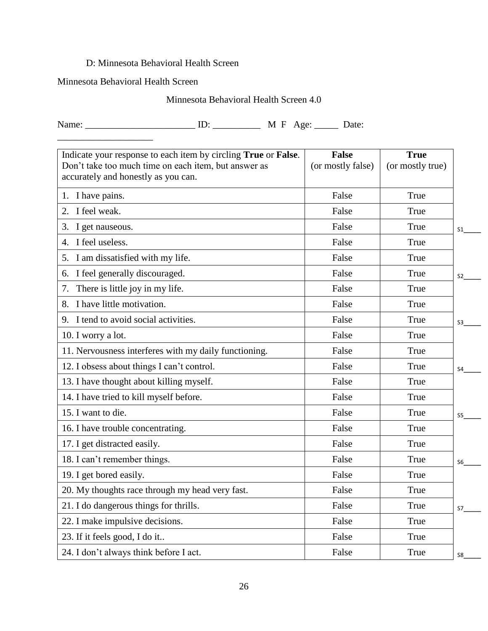## D: Minnesota Behavioral Health Screen

## Minnesota Behavioral Health Screen

## Minnesota Behavioral Health Screen 4.0

Name: \_\_\_\_\_\_\_\_\_\_\_\_\_\_\_\_\_\_\_\_\_\_\_ ID: \_\_\_\_\_\_\_\_\_\_ M F Age: \_\_\_\_\_ Date:

| Indicate your response to each item by circling True or False.                              | <b>False</b>      | <b>True</b>      |                |
|---------------------------------------------------------------------------------------------|-------------------|------------------|----------------|
| Don't take too much time on each item, but answer as<br>accurately and honestly as you can. | (or mostly false) | (or mostly true) |                |
| 1. I have pains.                                                                            | False             | True             |                |
| 2. I feel weak.                                                                             | False             | True             |                |
| 3.<br>I get nauseous.                                                                       | False             | True             | $S_1$          |
| 4. I feel useless.                                                                          | False             | True             |                |
| 5. I am dissatisfied with my life.                                                          | False             | True             |                |
| 6. I feel generally discouraged.                                                            | False             | True             | S <sub>2</sub> |
| There is little joy in my life.<br>7.                                                       | False             | True             |                |
| 8. I have little motivation.                                                                | False             | True             |                |
| 9. I tend to avoid social activities.                                                       | False             | True             | S3             |
| 10. I worry a lot.                                                                          | False             | True             |                |
| 11. Nervousness interferes with my daily functioning.                                       | False             | True             |                |
| 12. I obsess about things I can't control.                                                  | False             | True             | S4             |
| 13. I have thought about killing myself.                                                    | False             | True             |                |
| 14. I have tried to kill myself before.                                                     | False             | True             |                |
| 15. I want to die.                                                                          | False             | True             | S5             |
| 16. I have trouble concentrating.                                                           | False             | True             |                |
| 17. I get distracted easily.                                                                | False             | True             |                |
| 18. I can't remember things.                                                                | False             | True             | S6             |
| 19. I get bored easily.                                                                     | False             | True             |                |
| 20. My thoughts race through my head very fast.                                             | False             | True             |                |
| 21. I do dangerous things for thrills.                                                      | False             | True             | S7             |
| 22. I make impulsive decisions.                                                             | False             | True             |                |
| 23. If it feels good, I do it                                                               | False             | True             |                |
| 24. I don't always think before I act.                                                      | False             | True             | S8             |